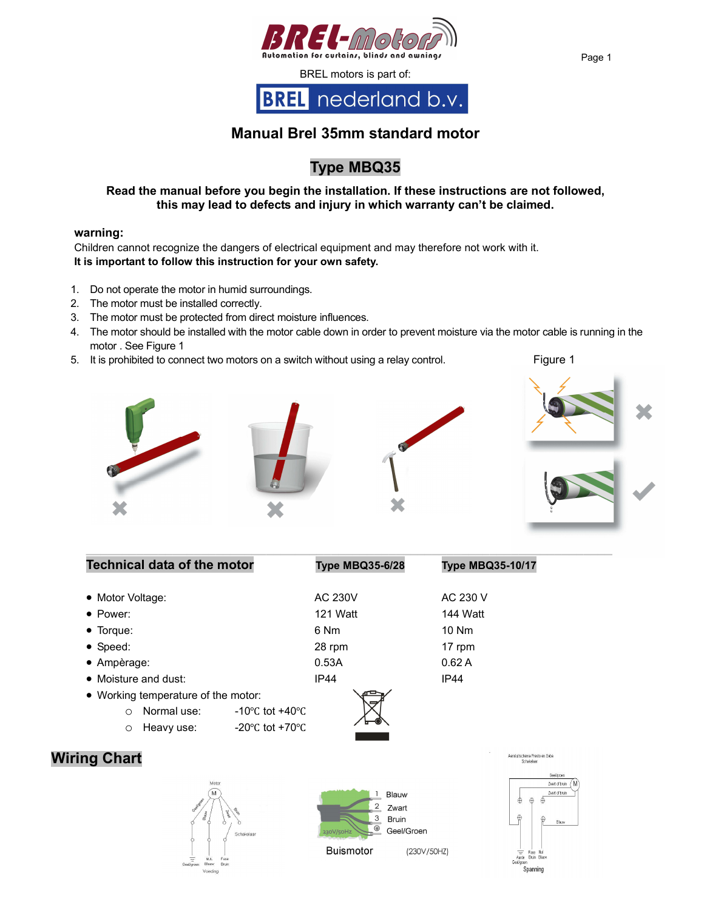

# **Manual Brel 35mm standard motor**

# **Type MBQ35**

### **Read the manual before you begin the installation. If these instructions are not followed, this may lead to defects and injury in which warranty can't be claimed.**

#### **warning:**

Children cannot recognize the dangers of electrical equipment and may therefore not work with it. **It is important to follow this instruction for your own safety.** 

- 1. Do not operate the motor in humid surroundings.
- 2. The motor must be installed correctly.
- 3. The motor must be protected from direct moisture influences.
- 4. The motor should be installed with the motor cable down in order to prevent moisture via the motor cable is running in the motor . See Figure 1
- 5. It is prohibited to connect two motors on a switch without using a relay control. Figure 1



**\_\_\_\_\_\_\_\_\_\_\_\_\_\_\_\_\_\_\_\_\_\_\_\_\_\_\_\_\_\_\_\_\_\_\_\_\_\_\_\_\_\_\_\_\_\_\_\_\_\_\_\_\_\_\_\_\_\_\_\_\_\_\_\_\_\_\_\_\_\_\_\_\_**



| <b>Technical data of the motor</b>  |                                     | <b>Type MBQ35-6/28</b> | <b>Type MBQ35-10/17</b>                        |
|-------------------------------------|-------------------------------------|------------------------|------------------------------------------------|
| • Motor Voltage:                    |                                     | <b>AC 230V</b>         | AC 230 V                                       |
| $\bullet$ Power:                    |                                     | 121 Watt               | 144 Watt                                       |
| $\bullet$ Torque:                   |                                     | 6 Nm                   | $10$ Nm                                        |
| $\bullet$ Speed:                    |                                     | 28 rpm                 | 17 rpm                                         |
| $\bullet$ Ampèrage:                 |                                     | 0.53A                  | 0.62A                                          |
| $\bullet$ Moisture and dust:        |                                     | IP44                   | <b>IP44</b>                                    |
| • Working temperature of the motor: |                                     |                        |                                                |
| Normal use:<br>$\Omega$             | $-10^{\circ}$ C tot $+40^{\circ}$ C |                        |                                                |
| Heavy use:<br>O                     | -20 $\degree$ C tot +70 $\degree$ C |                        |                                                |
| ing Chart                           |                                     |                        | Aanslijtschema Presto en Geba<br>Calculations: |







Buismotor

(230V/50HZ)